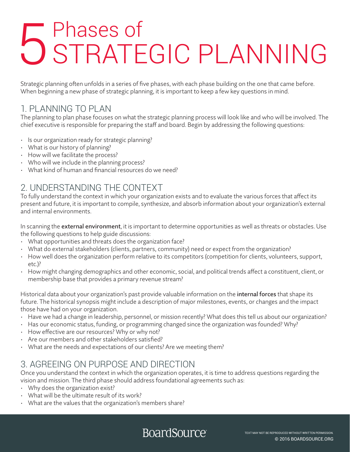# 5 Phases of<br>5 STRATEGIC PLANNING

Strategic planning often unfolds in a series of five phases, with each phase building on the one that came before. When beginning a new phase of strategic planning, it is important to keep a few key questions in mind.

#### 1. PLANNING TO PLAN

The planning to plan phase focuses on what the strategic planning process will look like and who will be involved. The chief executive is responsible for preparing the staff and board. Begin by addressing the following questions:

- Is our organization ready for strategic planning?
- What is our history of planning?
- How will we facilitate the process?
- Who will we include in the planning process?
- What kind of human and financial resources do we need?

#### 2. UNDERSTANDING THE CONTEXT

To fully understand the context in which your organization exists and to evaluate the various forces that affect its present and future, it is important to compile, synthesize, and absorb information about your organization's external and internal environments.

In scanning the external environment, it is important to determine opportunities as well as threats or obstacles. Use the following questions to help guide discussions:

- What opportunities and threats does the organization face?
- What do external stakeholders (clients, partners, community) need or expect from the organization?
- How well does the organization perform relative to its competitors (competition for clients, volunteers, support, etc.)?
- How might changing demographics and other economic, social, and political trends affect a constituent, client, or membership base that provides a primary revenue stream?

Historical data about your organization's past provide valuable information on the internal forces that shape its future. The historical synopsis might include a description of major milestones, events, or changes and the impact those have had on your organization.

- Have we had a change in leadership, personnel, or mission recently? What does this tell us about our organization?
- Has our economic status, funding, or programming changed since the organization was founded? Why?
- How effective are our resources? Why or why not?
- Are our members and other stakeholders satisfied?
- What are the needs and expectations of our clients? Are we meeting them?

#### 3. AGREEING ON PURPOSE AND DIRECTION

Once you understand the context in which the organization operates, it is time to address questions regarding the vision and mission. The third phase should address foundational agreements such as:

- Why does the organization exist?
- What will be the ultimate result of its work?
- What are the values that the organization's members share?

### BoardSource<sup>®</sup>